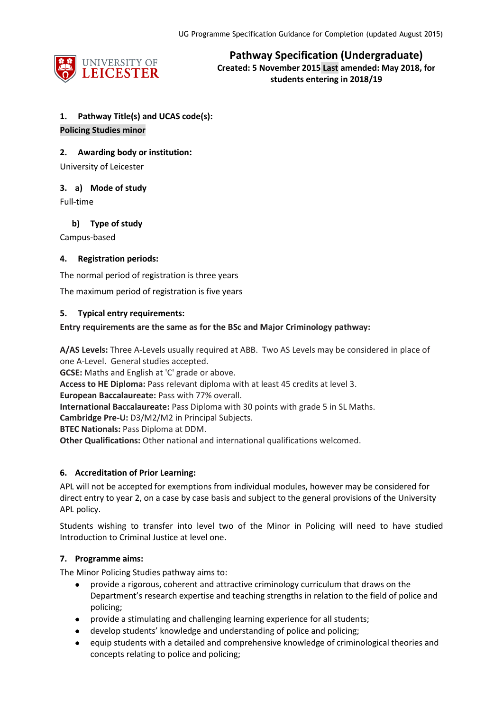

**Pathway Specification (Undergraduate) Created: 5 November 2015 Last amended: May 2018, for students entering in 2018/19**

# **1. Pathway Title(s) and UCAS code(s):**

#### **Policing Studies minor**

### **2. Awarding body or institution:**

University of Leicester

# **3. a) Mode of study**

Full-time

# **b) Type of study**

Campus-based

# **4. Registration periods:**

The normal period of registration is three years

The maximum period of registration is five years

#### **5. Typical entry requirements:**

#### **Entry requirements are the same as for the BSc and Major Criminology pathway:**

**A/AS Levels:** Three A-Levels usually required at ABB. Two AS Levels may be considered in place of one A-Level. General studies accepted.

**GCSE:** Maths and English at 'C' grade or above.

**Access to HE Diploma:** Pass relevant diploma with at least 45 credits at level 3.

**European Baccalaureate:** Pass with 77% overall.

**International Baccalaureate:** Pass Diploma with 30 points with grade 5 in SL Maths.

**Cambridge Pre-U:** D3/M2/M2 in Principal Subjects.

**BTEC Nationals:** Pass Diploma at DDM.

**Other Qualifications:** Other national and international qualifications welcomed.

# **6. Accreditation of Prior Learning:**

APL will not be accepted for exemptions from individual modules, however may be considered for direct entry to year 2, on a case by case basis and subject to the general provisions of the University APL policy.

Students wishing to transfer into level two of the Minor in Policing will need to have studied Introduction to Criminal Justice at level one.

# **7. Programme aims:**

The Minor Policing Studies pathway aims to:

- provide a rigorous, coherent and attractive criminology curriculum that draws on the Department's research expertise and teaching strengths in relation to the field of police and policing;
- provide a stimulating and challenging learning experience for all students;
- develop students' knowledge and understanding of police and policing;
- equip students with a detailed and comprehensive knowledge of criminological theories and concepts relating to police and policing;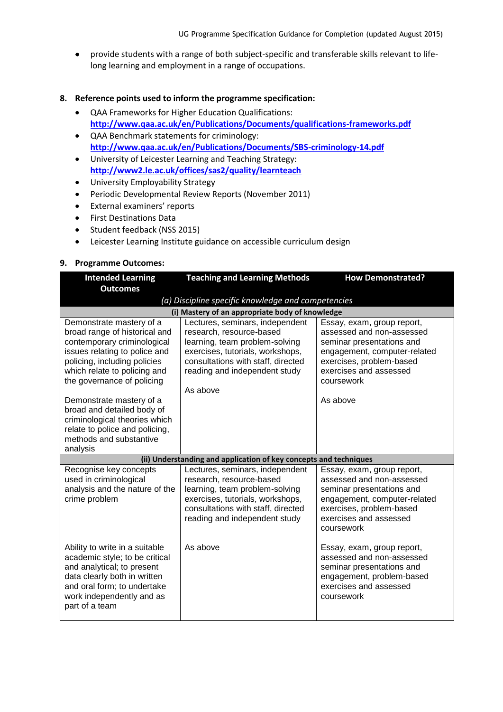provide students with a range of both subject-specific and transferable skills relevant to lifelong learning and employment in a range of occupations.

#### **8. Reference points used to inform the programme specification:**

- QAA Frameworks for Higher Education Qualifications: **<http://www.qaa.ac.uk/en/Publications/Documents/qualifications-frameworks.pdf>**
- QAA Benchmark statements for criminology: **<http://www.qaa.ac.uk/en/Publications/Documents/SBS-criminology-14.pdf>**
- University of Leicester Learning and Teaching Strategy: **<http://www2.le.ac.uk/offices/sas2/quality/learnteach>**
- University Employability Strategy
- Periodic Developmental Review Reports (November 2011)
- External examiners' reports
- **•** First Destinations Data
- Student feedback (NSS 2015)
- Leicester Learning Institute guidance on accessible curriculum design

#### **9. Programme Outcomes:**

| <b>Intended Learning</b>                                                                                                                                                                                                | <b>Teaching and Learning Methods</b>                                                                                                                                                                                 | <b>How Demonstrated?</b>                                                                                                                                                                 |  |  |
|-------------------------------------------------------------------------------------------------------------------------------------------------------------------------------------------------------------------------|----------------------------------------------------------------------------------------------------------------------------------------------------------------------------------------------------------------------|------------------------------------------------------------------------------------------------------------------------------------------------------------------------------------------|--|--|
| <b>Outcomes</b>                                                                                                                                                                                                         |                                                                                                                                                                                                                      |                                                                                                                                                                                          |  |  |
|                                                                                                                                                                                                                         | (a) Discipline specific knowledge and competencies                                                                                                                                                                   |                                                                                                                                                                                          |  |  |
|                                                                                                                                                                                                                         | (i) Mastery of an appropriate body of knowledge                                                                                                                                                                      |                                                                                                                                                                                          |  |  |
| Demonstrate mastery of a<br>broad range of historical and<br>contemporary criminological<br>issues relating to police and<br>policing, including policies<br>which relate to policing and<br>the governance of policing | Lectures, seminars, independent<br>research, resource-based<br>learning, team problem-solving<br>exercises, tutorials, workshops,<br>consultations with staff, directed<br>reading and independent study<br>As above | Essay, exam, group report,<br>assessed and non-assessed<br>seminar presentations and<br>engagement, computer-related<br>exercises, problem-based<br>exercises and assessed<br>coursework |  |  |
| Demonstrate mastery of a<br>broad and detailed body of<br>criminological theories which<br>relate to police and policing,<br>methods and substantive<br>analysis                                                        |                                                                                                                                                                                                                      | As above                                                                                                                                                                                 |  |  |
|                                                                                                                                                                                                                         | (ii) Understanding and application of key concepts and techniques                                                                                                                                                    |                                                                                                                                                                                          |  |  |
| Recognise key concepts<br>used in criminological<br>analysis and the nature of the<br>crime problem                                                                                                                     | Lectures, seminars, independent<br>research, resource-based<br>learning, team problem-solving<br>exercises, tutorials, workshops,<br>consultations with staff, directed<br>reading and independent study             | Essay, exam, group report,<br>assessed and non-assessed<br>seminar presentations and<br>engagement, computer-related<br>exercises, problem-based<br>exercises and assessed<br>coursework |  |  |
| Ability to write in a suitable<br>academic style; to be critical<br>and analytical; to present<br>data clearly both in written<br>and oral form; to undertake<br>work independently and as<br>part of a team            | As above                                                                                                                                                                                                             | Essay, exam, group report,<br>assessed and non-assessed<br>seminar presentations and<br>engagement, problem-based<br>exercises and assessed<br>coursework                                |  |  |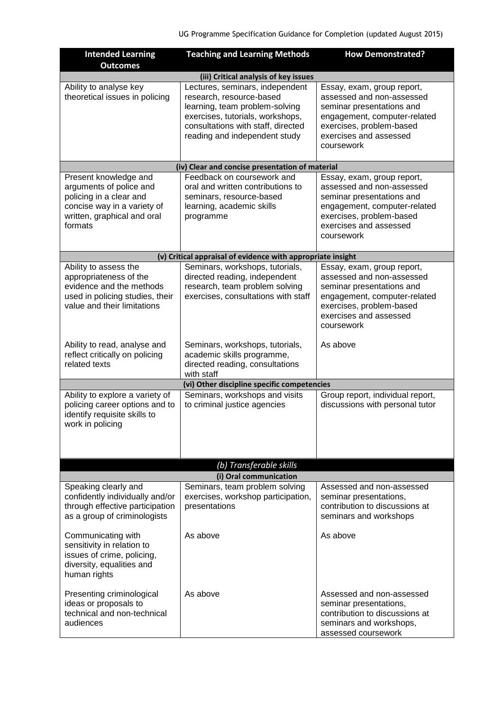| <b>Intended Learning</b>                                                                                                                             | <b>Teaching and Learning Methods</b>                                                                                                                                                                     | <b>How Demonstrated?</b>                                                                                                                                                                 |  |
|------------------------------------------------------------------------------------------------------------------------------------------------------|----------------------------------------------------------------------------------------------------------------------------------------------------------------------------------------------------------|------------------------------------------------------------------------------------------------------------------------------------------------------------------------------------------|--|
| <b>Outcomes</b>                                                                                                                                      |                                                                                                                                                                                                          |                                                                                                                                                                                          |  |
| (iii) Critical analysis of key issues                                                                                                                |                                                                                                                                                                                                          |                                                                                                                                                                                          |  |
| Ability to analyse key<br>theoretical issues in policing                                                                                             | Lectures, seminars, independent<br>research, resource-based<br>learning, team problem-solving<br>exercises, tutorials, workshops,<br>consultations with staff, directed<br>reading and independent study | Essay, exam, group report,<br>assessed and non-assessed<br>seminar presentations and<br>engagement, computer-related<br>exercises, problem-based<br>exercises and assessed<br>coursework |  |
|                                                                                                                                                      | (iv) Clear and concise presentation of material                                                                                                                                                          |                                                                                                                                                                                          |  |
| Present knowledge and<br>arguments of police and<br>policing in a clear and<br>concise way in a variety of<br>written, graphical and oral<br>formats | Feedback on coursework and<br>oral and written contributions to<br>seminars, resource-based<br>learning, academic skills<br>programme                                                                    | Essay, exam, group report,<br>assessed and non-assessed<br>seminar presentations and<br>engagement, computer-related<br>exercises, problem-based<br>exercises and assessed<br>coursework |  |
|                                                                                                                                                      | (v) Critical appraisal of evidence with appropriate insight                                                                                                                                              |                                                                                                                                                                                          |  |
| Ability to assess the<br>appropriateness of the<br>evidence and the methods<br>used in policing studies, their<br>value and their limitations        | Seminars, workshops, tutorials,<br>directed reading, independent<br>research, team problem solving<br>exercises, consultations with staff                                                                | Essay, exam, group report,<br>assessed and non-assessed<br>seminar presentations and<br>engagement, computer-related<br>exercises, problem-based<br>exercises and assessed<br>coursework |  |
| Ability to read, analyse and<br>reflect critically on policing<br>related texts                                                                      | Seminars, workshops, tutorials,<br>academic skills programme,<br>directed reading, consultations<br>with staff                                                                                           | As above                                                                                                                                                                                 |  |
|                                                                                                                                                      | (vi) Other discipline specific competencies                                                                                                                                                              |                                                                                                                                                                                          |  |
| Ability to explore a variety of<br>policing career options and to<br>identify requisite skills to<br>work in policing                                | Seminars, workshops and visits<br>to criminal justice agencies                                                                                                                                           | Group report, individual report,<br>discussions with personal tutor                                                                                                                      |  |
|                                                                                                                                                      | (b) Transferable skills                                                                                                                                                                                  |                                                                                                                                                                                          |  |
| (i) Oral communication                                                                                                                               |                                                                                                                                                                                                          |                                                                                                                                                                                          |  |
| Speaking clearly and<br>confidently individually and/or<br>through effective participation<br>as a group of criminologists                           | Seminars, team problem solving<br>exercises, workshop participation,<br>presentations                                                                                                                    | Assessed and non-assessed<br>seminar presentations,<br>contribution to discussions at<br>seminars and workshops                                                                          |  |
| Communicating with<br>sensitivity in relation to<br>issues of crime, policing,<br>diversity, equalities and<br>human rights                          | As above                                                                                                                                                                                                 | As above                                                                                                                                                                                 |  |
| Presenting criminological<br>ideas or proposals to<br>technical and non-technical<br>audiences                                                       | As above                                                                                                                                                                                                 | Assessed and non-assessed<br>seminar presentations,<br>contribution to discussions at<br>seminars and workshops,<br>assessed coursework                                                  |  |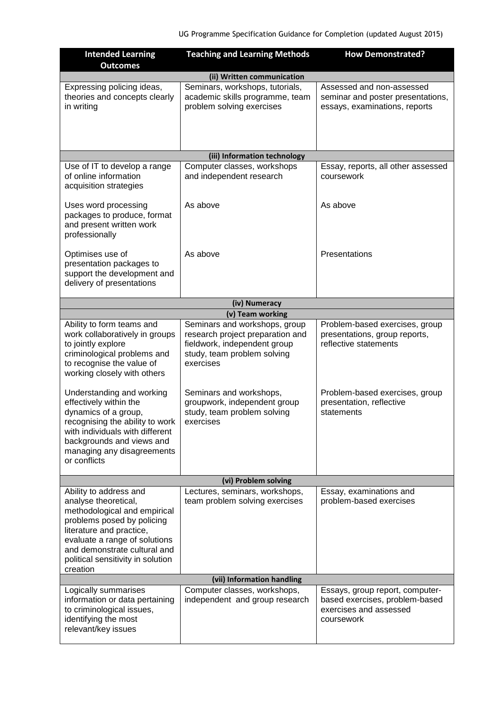| <b>Intended Learning</b><br><b>Outcomes</b>                                                                                                                                                                                                                | <b>Teaching and Learning Methods</b>                                                                                                          | <b>How Demonstrated?</b>                                                                                  |  |
|------------------------------------------------------------------------------------------------------------------------------------------------------------------------------------------------------------------------------------------------------------|-----------------------------------------------------------------------------------------------------------------------------------------------|-----------------------------------------------------------------------------------------------------------|--|
| (ii) Written communication                                                                                                                                                                                                                                 |                                                                                                                                               |                                                                                                           |  |
| Expressing policing ideas,<br>theories and concepts clearly<br>in writing                                                                                                                                                                                  | Seminars, workshops, tutorials,<br>academic skills programme, team<br>problem solving exercises                                               | Assessed and non-assessed<br>seminar and poster presentations,<br>essays, examinations, reports           |  |
|                                                                                                                                                                                                                                                            |                                                                                                                                               |                                                                                                           |  |
|                                                                                                                                                                                                                                                            | (iii) Information technology                                                                                                                  |                                                                                                           |  |
| Use of IT to develop a range<br>of online information<br>acquisition strategies                                                                                                                                                                            | Computer classes, workshops<br>and independent research                                                                                       | Essay, reports, all other assessed<br>coursework                                                          |  |
| Uses word processing<br>packages to produce, format<br>and present written work<br>professionally                                                                                                                                                          | As above                                                                                                                                      | As above                                                                                                  |  |
| Optimises use of<br>presentation packages to<br>support the development and<br>delivery of presentations                                                                                                                                                   | As above                                                                                                                                      | Presentations                                                                                             |  |
|                                                                                                                                                                                                                                                            | (iv) Numeracy                                                                                                                                 |                                                                                                           |  |
|                                                                                                                                                                                                                                                            | (v) Team working                                                                                                                              |                                                                                                           |  |
| Ability to form teams and<br>work collaboratively in groups<br>to jointly explore<br>criminological problems and<br>to recognise the value of<br>working closely with others                                                                               | Seminars and workshops, group<br>research project preparation and<br>fieldwork, independent group<br>study, team problem solving<br>exercises | Problem-based exercises, group<br>presentations, group reports,<br>reflective statements                  |  |
| Understanding and working<br>effectively within the<br>dynamics of a group,<br>recognising the ability to work<br>with individuals with different<br>backgrounds and views and<br>managing any disagreements<br>or conflicts                               | Seminars and workshops,<br>groupwork, independent group<br>study, team problem solving<br>exercises                                           | Problem-based exercises, group<br>presentation, reflective<br>statements                                  |  |
| (vi) Problem solving                                                                                                                                                                                                                                       |                                                                                                                                               |                                                                                                           |  |
| Ability to address and<br>analyse theoretical,<br>methodological and empirical<br>problems posed by policing<br>literature and practice,<br>evaluate a range of solutions<br>and demonstrate cultural and<br>political sensitivity in solution<br>creation | Lectures, seminars, workshops,<br>team problem solving exercises                                                                              | Essay, examinations and<br>problem-based exercises                                                        |  |
| (vii) Information handling                                                                                                                                                                                                                                 |                                                                                                                                               |                                                                                                           |  |
| Logically summarises<br>information or data pertaining<br>to criminological issues,<br>identifying the most<br>relevant/key issues                                                                                                                         | Computer classes, workshops,<br>independent and group research                                                                                | Essays, group report, computer-<br>based exercises, problem-based<br>exercises and assessed<br>coursework |  |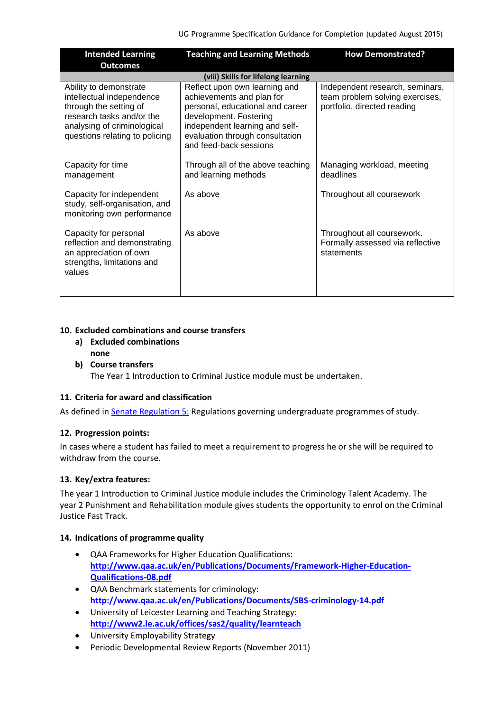| <b>Intended Learning</b><br><b>Outcomes</b>                                                                                                                                 | <b>Teaching and Learning Methods</b>                                                                                                                                                                                    | <b>How Demonstrated?</b>                                                                          |  |
|-----------------------------------------------------------------------------------------------------------------------------------------------------------------------------|-------------------------------------------------------------------------------------------------------------------------------------------------------------------------------------------------------------------------|---------------------------------------------------------------------------------------------------|--|
| (viii) Skills for lifelong learning                                                                                                                                         |                                                                                                                                                                                                                         |                                                                                                   |  |
| Ability to demonstrate<br>intellectual independence<br>through the setting of<br>research tasks and/or the<br>analysing of criminological<br>questions relating to policing | Reflect upon own learning and<br>achievements and plan for<br>personal, educational and career<br>development. Fostering<br>independent learning and self-<br>evaluation through consultation<br>and feed-back sessions | Independent research, seminars,<br>team problem solving exercises,<br>portfolio, directed reading |  |
| Capacity for time<br>management                                                                                                                                             | Through all of the above teaching<br>and learning methods                                                                                                                                                               | Managing workload, meeting<br>deadlines                                                           |  |
| Capacity for independent<br>study, self-organisation, and<br>monitoring own performance                                                                                     | As above                                                                                                                                                                                                                | Throughout all coursework                                                                         |  |
| Capacity for personal<br>reflection and demonstrating<br>an appreciation of own<br>strengths, limitations and<br>values                                                     | As above                                                                                                                                                                                                                | Throughout all coursework.<br>Formally assessed via reflective<br>statements                      |  |

### **10. Excluded combinations and course transfers**

- **a) Excluded combinations none**
- **b) Course transfers**

The Year 1 Introduction to Criminal Justice module must be undertaken.

#### **11. Criteria for award and classification**

As defined in **Senate Regulation 5: Regulations governing undergraduate programmes of study.** 

# **12. Progression points:**

In cases where a student has failed to meet a requirement to progress he or she will be required to withdraw from the course.

# **13. Key/extra features:**

The year 1 Introduction to Criminal Justice module includes the Criminology Talent Academy. The year 2 Punishment and Rehabilitation module gives students the opportunity to enrol on the Criminal Justice Fast Track.

#### **14. Indications of programme quality**

- QAA Frameworks for Higher Education Qualifications: **[http://www.qaa.ac.uk/en/Publications/Documents/Framework-Higher-Education-](http://www.qaa.ac.uk/en/Publications/Documents/Framework-Higher-Education-Qualifications-08.pdf)[Qualifications-08.pdf](http://www.qaa.ac.uk/en/Publications/Documents/Framework-Higher-Education-Qualifications-08.pdf)**
- QAA Benchmark statements for criminology: **<http://www.qaa.ac.uk/en/Publications/Documents/SBS-criminology-14.pdf>**
- University of Leicester Learning and Teaching Strategy: **<http://www2.le.ac.uk/offices/sas2/quality/learnteach>**
- University Employability Strategy
- Periodic Developmental Review Reports (November 2011)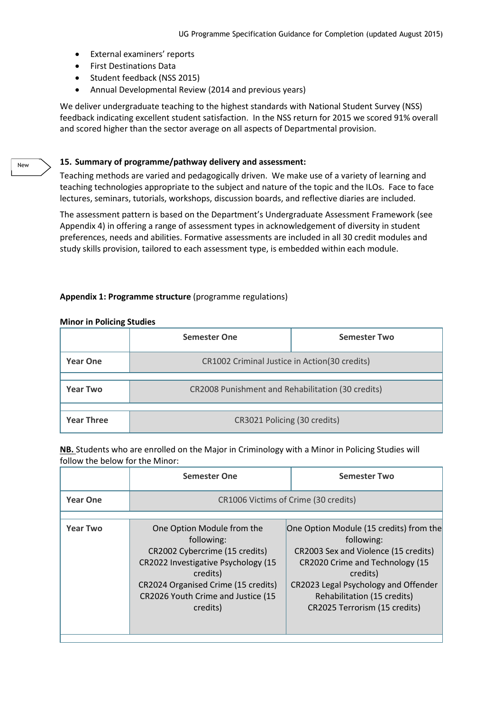- External examiners' reports
- **•** First Destinations Data
- Student feedback (NSS 2015)
- Annual Developmental Review (2014 and previous years)

We deliver undergraduate teaching to the highest standards with National Student Survey (NSS) feedback indicating excellent student satisfaction. In the NSS return for 2015 we scored 91% overall and scored higher than the sector average on all aspects of Departmental provision.

#### **15. Summary of programme/pathway delivery and assessment:**

Teaching methods are varied and pedagogically driven. We make use of a variety of learning and teaching technologies appropriate to the subject and nature of the topic and the ILOs. Face to face lectures, seminars, tutorials, workshops, discussion boards, and reflective diaries are included.

The assessment pattern is based on the Department's Undergraduate Assessment Framework (see Appendix 4) in offering a range of assessment types in acknowledgement of diversity in student preferences, needs and abilities. Formative assessments are included in all 30 credit modules and study skills provision, tailored to each assessment type, is embedded within each module.

#### **Appendix 1: Programme structure** (programme regulations)

|                   | <b>Semester One</b>                               | <b>Semester Two</b> |
|-------------------|---------------------------------------------------|---------------------|
| <b>Year One</b>   | CR1002 Criminal Justice in Action(30 credits)     |                     |
| <b>Year Two</b>   | CR2008 Punishment and Rehabilitation (30 credits) |                     |
| <b>Year Three</b> | CR3021 Policing (30 credits)                      |                     |

#### **Minor in Policing Studies**

**NB.** Students who are enrolled on the Major in Criminology with a Minor in Policing Studies will follow the below for the Minor:

|                 | <b>Semester One</b>                                                                                                                                                                                                    | <b>Semester Two</b>                                                                                                                                                                                                                                  |
|-----------------|------------------------------------------------------------------------------------------------------------------------------------------------------------------------------------------------------------------------|------------------------------------------------------------------------------------------------------------------------------------------------------------------------------------------------------------------------------------------------------|
| <b>Year One</b> | CR1006 Victims of Crime (30 credits)                                                                                                                                                                                   |                                                                                                                                                                                                                                                      |
| <b>Year Two</b> | One Option Module from the<br>following:<br>CR2002 Cybercrime (15 credits)<br>CR2022 Investigative Psychology (15<br>credits)<br>CR2024 Organised Crime (15 credits)<br>CR2026 Youth Crime and Justice (15<br>credits) | One Option Module (15 credits) from the<br>following:<br>CR2003 Sex and Violence (15 credits)<br>CR2020 Crime and Technology (15<br>credits)<br>CR2023 Legal Psychology and Offender<br>Rehabilitation (15 credits)<br>CR2025 Terrorism (15 credits) |

New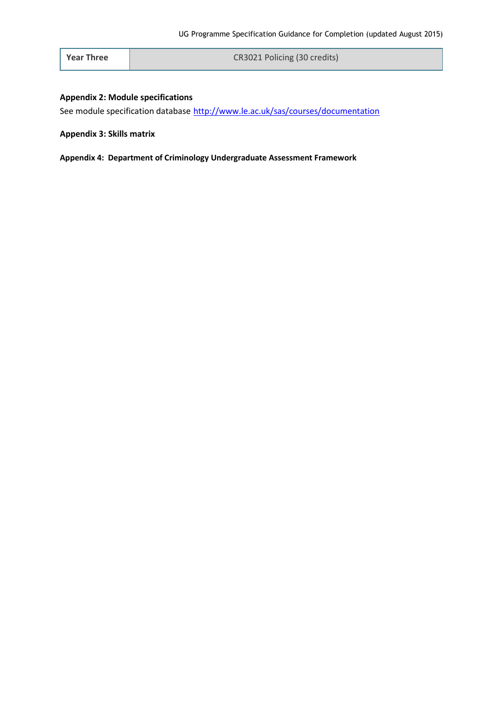**Year Three CR3021 Policing (30 credits)** 

#### **Appendix 2: Module specifications**

See module specification database <http://www.le.ac.uk/sas/courses/documentation>

#### **Appendix 3: Skills matrix**

**Appendix 4: Department of Criminology Undergraduate Assessment Framework**